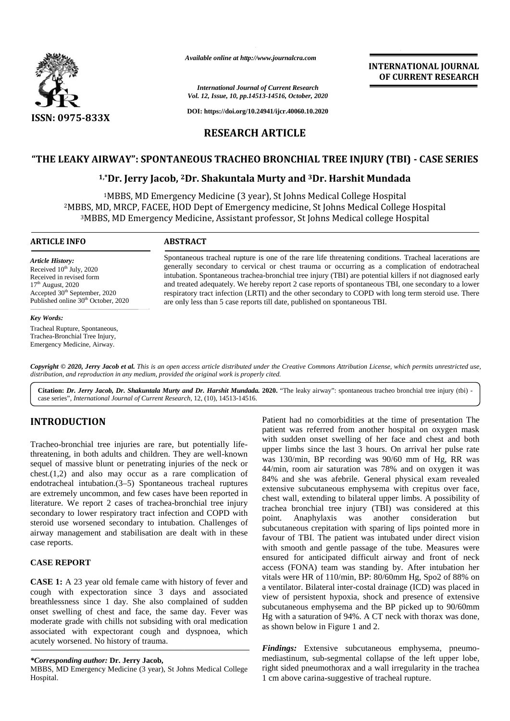

*Available online at http://www.journalcra.com*

*International Journal of Current Research Vol. 12, Issue, 10, pp.14513-14516, October, 2020*

**DOI: https://doi.org/10.24941/ijcr.40060.10.2020**

# **RESEARCH ARTICLE**

# **"THE LEAKY AIRWAY": SPONTANEOUS TRACHEO BRONCHIAL TREE INJURY (TBI) -CASE SERIES INJURY (TBI)**

# **1,\*Dr. Jerry Jacob, <sup>2</sup>Dr. Shakuntala Murty and <sup>3</sup>Dr. Harshit Mundada Jerry Jacob,**

 $^{1}$ MBBS, MD Emergency Medicine (3 year), St Johns Medical College Hospital <sup>2</sup>MBBS, MD, MRCP, FACEE, HOD Dept of Emergency medicine, St Johns Medical College Hospital DeptBS, MD, MRCP, FACEE, HOD Dept of Emergency medicine, St Johns Medical College Hospital<br><sup>3</sup>MBBS, MD Emergency Medicine, Assistant professor, St Johns Medical college Hospital

#### **ARTICLE INFO ABSTRACT ARTICLE ABSTRACT**

*Article History:* Received  $10^{th}$  July, 2020 Received in revised form<br>17<sup>th</sup> August, 2020  $17<sup>th</sup>$  August, 2020 Accepted 30<sup>th</sup> September, 2020 Published online 30<sup>th</sup> October, 2020

#### *Key Words:*

Tracheal Rupture, Spontaneous, Trachea-Bronchial Tree Injury, Emergency Medicine, Airway.

Spontaneous tracheal rupture is one of the rare life threatening conditions. Tracheal lacerations are lacerations generally secondary to cervical or chest trauma or occurring as a complication of endotracheal intubation. Spontaneous trachea-bronchial tree injury (TBI) are potential killers if not diagnosed early and treated adequately. We hereby report 2 case reports of spontaneous TBI, one secondary to a lower respiratory tract infection (LRTI) and the other secondary to COPD with long term steroid use. There are only less than 5 case reports till date, published on spontaneous TBI. Spontaneous tracheal rupture is one of the rare life threatening conditions. Trachez generally secondary to cervical or chest trauma or occurring as a complication intubation. Spontaneous trachea-bronchial tree injury (TBI *Assilable online at Interpretation*<br> *Harshitand Journal of Current Recourch*<br> *Hotel, 13, Ester, 10, pp.14813-14816, October, 2020*<br> **Harshitand Journal of Current Recourch**<br> **HARSHIT RESEAR CH ARTICLE**<br> **HARWAY": SPONTA** 

Copyright © 2020, Jerry Jacob et al. This is an open access article distributed under the Creative Commons Attribution License, which permits unrestricted use, *distribution, and reproduction in any medium, provided the original work is properly cited. distribution,any*

**Citation:** *Dr. Jerry Jacob, Dr. Shakuntala Murty and Dr. Harshit Mundada.* **2020.** "The leaky airway": spontaneous tracheo bronchial tree injury (tbi) case series", *International Journal of Current Research*, 12, (10), 14513-14516.

# **INTRODUCTION INTRODUCTION**

Tracheo-bronchial tree injuries are rare, but potentially lifethreatening, in both adults and children. They are well-known sequel of massive blunt or penetrating injuries of the neck or chest. $(1,2)$  and also may occur as a rare complication of endotracheal intubation.(3–5) Spontaneous tracheal ruptures are extremely uncommon, and few cases have been reported in literature. We report 2 cases of trachea-bronchial tree injury secondary to lower respiratory tract infection and COPD with point. steroid use worsened secondary to intubation. Challenges of airway management and stabilisation are dealt with in these case reports. Tracheo-bronchial tree injuries are rare, but potentially life-<br>threatening, in both adults and children. They are well-known<br>sequel of massive blunt or penetrating injuries of the neck or<br>chest.(1,2) and also may occur as

## **CASE REPORT**

**CASE 1:** A 23 year old female came with history of fever and cough with expectoration since 3 days and associated  $\frac{d}{dx}$ breathlessness since 1 day. She also complained of sudden onset swelling of chest and face, the same day. Fever was moderate grade with chills not subsiding with oral medication associated with expectorant cough and dyspnoea, which acutely worsened. No history of trauma. **CASE REPORT**<br>CASE 1: A 23 year old female came with history<br>cough with expectoration since 3 days and<br>breathlessness since 1 day. She also complained<br>onset swelling of chest and face, the same day<br>moderate grade with chil

*\*Corresponding author:* **Dr. Jerry Jacob,** *\*Corresponding* 

MBBS, MD Emergency Medicine (3 year), St Johns Medical College right Hospital.

Patient had no comorbidities at the time of presentation The patient was referred from another hospital on oxygen mask with sudden onset swelling of her face and chest and both upper limbs since the last 3 hours. On arrival her pulse rate was 130/min, BP recording was 90/60 mm of Hg, RR was 44/min, room air saturation was 78% and on oxygen it was 84% and she was afebrile. General physical exam revealed extensive subcutaneous emphysema with crepitus over face, chest wall, extending to bilateral upper limbs. A possibility of trachea bronchial tree injury (TBI) was considered at this Anaphylaxis was another consideration but subcutaneous crepitation with sparing of lips pointed more in favour of TBI. The patient was intubated under direct vision with smooth and gentle passage of the tube. Measures were ensured for anticipated difficult airway and front of neck access (FONA) team was standing by. After intubation her vitals were HR of 110/min, BP: 80/60mm Hg, Spo2 of 88% on a ventilator. Bilateral inter-costal drainage (ICD) was placed in view of persistent hypoxia, shock and presence of extensive a ventilator. Bilateral inter-costal drainage (ICD) was placed in<br>view of persistent hypoxia, shock and presence of extensive<br>subcutaneous emphysema and the BP picked up to 90/60mm Hg with a saturation of 94%. A CT neck with thorax was done, as shown below in Figure 1 and 2. **INTRODUCTION**<br>
Patient had no composition in the minor of presentation<br>
Trackeo-bronchial tree injuries are rare, but potentially life-<br>
with sudden ones swelling of her face and chest and both<br>
directed another another I. The patient was intubated under direct vision<br>and gentle passage of the tube. Measures were<br>anticipated difficult airway and front of neck<br>A) team was standing by. After intubation her<br>R of 110/min, BP: 80/60mm Hg, Spo2 **FINDINGS:**<br> **FINDINGS:**<br> **FINDINGS:**<br> **FINDINGS:**<br> **FINDINGS:**<br> **FINDINGS:**<br> **FINDINGS:**<br> **FINDINGS:**<br> **FINDINGS:**<br> **FINDINGS:**<br> **FINDINGS:**<br> **FINDINGS:**<br> **FINDINGS:**<br> **FINDINGS:**<br> **FINDINGS:**<br> **FINDING THE CONDINGS:**<br> **F INTERNATIONAL JOURNAL (INTERNATIONAL JOURNAL (INTERNATIONAL JOURNAL COURNEL (INTERNATIONAL JOURNAL TRESTARCHE COURNEL TRESTARCHE CONDUCT (ISSUE SCRIPT) (CASE SERIES (CASE SERIES (CASE SERIES (CASE SERIES (CASE SERIES (CA** 

**INTERNATIONAL JOURNAL OF CURRENT RESEARCH**

*Findings:* Extensive subcutaneous emphysema, pneumo mediastinum, sub-segmental collapse of the left upper lobe, right sided pneumothorax and a wall irregularity in the trachea 1 cm above carina-suggestive of tracheal rupture.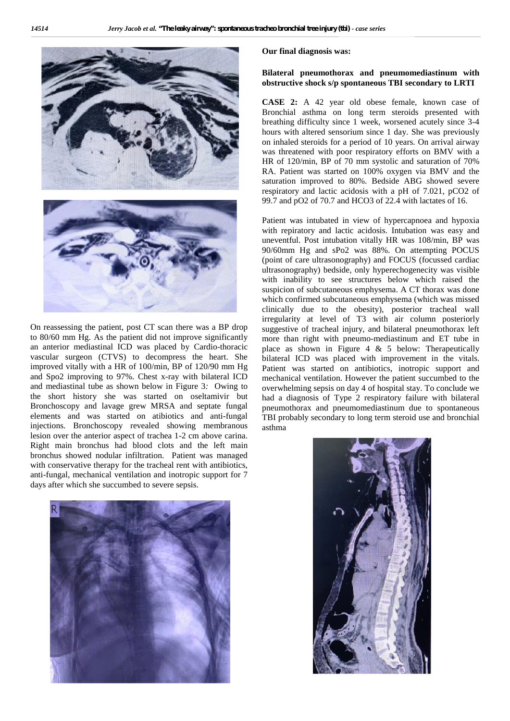

On reassessing the patient, post CT scan there was a BP drop to 80/60 mm Hg. As the patient did not improve significantly an anterior mediastinal ICD was placed by Cardio-thoracic vascular surgeon (CTVS) to decompress the heart. She improved vitally with a HR of 100/min, BP of 120/90 mm Hg and Spo2 improving to 97%. Chest x-ray with bilateral ICD and mediastinal tube as shown below in Figure 3*:* Owing to the short history she was started on oseltamivir but Bronchoscopy and lavage grew MRSA and septate fungal elements and was started on atibiotics and anti-fungal injections. Bronchoscopy revealed showing membranous lesion over the anterior aspect of trachea 1-2 cm above carina. Right main bronchus had blood clots and the left main bronchus showed nodular infiltration. Patient was managed with conservative therapy for the tracheal rent with antibiotics, anti-fungal, mechanical ventilation and inotropic support for 7 days after which she succumbed to severe sepsis.



**Our final diagnosis was:**

## **Bilateral pneumothorax and pneumomediastinum with obstructive shock s/p spontaneous TBI secondary to LRTI**

**CASE 2:** A 42 year old obese female, known case of Bronchial asthma on long term steroids presented with breathing difficulty since 1 week, worsened acutely since 3-4 hours with altered sensorium since 1 day. She was previously on inhaled steroids for a period of 10 years. On arrival airway was threatened with poor respiratory efforts on BMV with a HR of 120/min, BP of 70 mm systolic and saturation of 70% RA. Patient was started on 100% oxygen via BMV and the saturation improved to 80%. Bedside ABG showed severe respiratory and lactic acidosis with a pH of 7.021, pCO2 of 99.7 and pO2 of 70.7 and HCO3 of 22.4 with lactates of 16.

Patient was intubated in view of hypercapnoea and hypoxia with repiratory and lactic acidosis. Intubation was easy and uneventful. Post intubation vitally HR was 108/min, BP was 90/60mm Hg and sPo2 was 88%. On attempting POCUS (point of care ultrasonography) and FOCUS (focussed cardiac ultrasonography) bedside, only hyperechogenecity was visible with inability to see structures below which raised the suspicion of subcutaneous emphysema. A CT thorax was done which confirmed subcutaneous emphysema (which was missed clinically due to the obesity), posterior tracheal wall irregularity at level of T3 with air column posteriorly suggestive of tracheal injury, and bilateral pneumothorax left more than right with pneumo-mediastinum and ET tube in place as shown in Figure 4  $\&$  5 below: Therapeutically bilateral ICD was placed with improvement in the vitals. Patient was started on antibiotics, inotropic support and mechanical ventilation. However the patient succumbed to the overwhelming sepsis on day 4 of hospital stay. To conclude we had a diagnosis of Type 2 respiratory failure with bilateral pneumothorax and pneumomediastinum due to spontaneous TBI probably secondary to long term steroid use and bronchial asthma

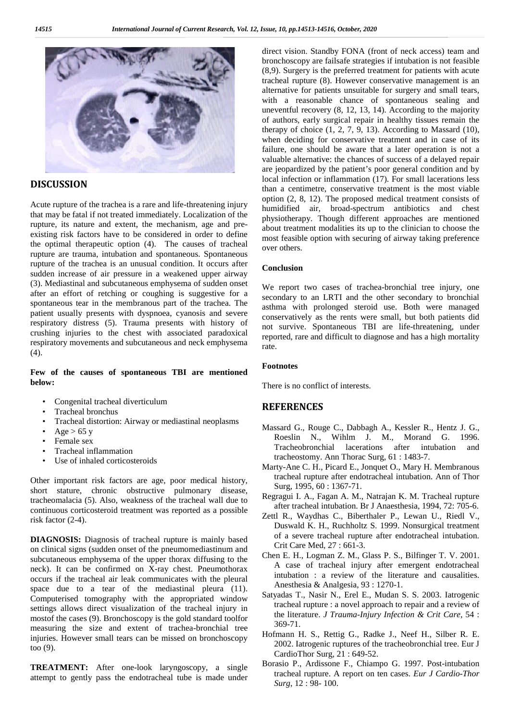

## **DISCUSSION**

Acute rupture of the trachea is a rare and life-threatening injury that may be fatal if not treated immediately. Localization of the rupture, its nature and extent, the mechanism, age and pre existing risk factors have to be considered in order to define the optimal therapeutic option (4). The causes of tracheal rupture are trauma, intubation and spontaneous. Spontaneous rupture of the trachea is an unusual condition. It occurs after sudden increase of air pressure in a weakened upper airway (3). Mediastinal and subcutaneous emphysema of sudden onset after an effort of retching or coughing is suggestive for a spontaneous tear in the membranous part of the trachea. The patient usually presents with dyspnoea, cyanosis and severe respiratory distress (5). Trauma presents with history of crushing injuries to the chest with associated paradoxical respiratory movements and subcutaneous and neck emphysema  $(4)$ .

### **Few of the causes of spontaneous TBI are mentioned below:**

- Congenital tracheal diverticulum
- Tracheal bronchus
- Tracheal distortion: Airway or mediastinal neoplasms
- $Age > 65$  y
- Female sex
- Tracheal inflammation
- Use of inhaled corticosteroids

Other important risk factors are age, poor medical history, short stature, chronic obstructive pulmonary disease, tracheomalacia (5). Also, weakness of the tracheal wall due to continuous corticosteroid treatment was reported as a possible risk factor (2-4).

**DIAGNOSIS:** Diagnosis of tracheal rupture is mainly based on clinical signs (sudden onset of the pneumomediastinum and subcutaneous emphysema of the upper thorax diffusing to the neck). It can be confirmed on X-ray chest. Pneumothorax occurs if the tracheal air leak communicates with the pleural space due to a tear of the mediastinal pleura (11). Computerised tomography with the appropriated window settings allows direct visualization of the tracheal injury in mostof the cases (9). Bronchoscopy is the gold standard toolfor measuring the size and extent of trachea-bronchial tree injuries. However small tears can be missed on bronchoscopy too (9).

**TREATMENT:** After one-look laryngoscopy, a single attempt to gently pass the endotracheal tube is made under direct vision. Standby FONA (front of neck access) team and bronchoscopy are failsafe strategies if intubation is not feasible (8,9). Surgery is the preferred treatment for patients with acute tracheal rupture (8). However conservative management is an alternative for patients unsuitable for surgery and small tears, with a reasonable chance of spontaneous sealing and uneventful recovery (8, 12, 13, 14). According to the majority of authors, early surgical repair in healthy tissues remain the therapy of choice  $(1, 2, 7, 9, 13)$ . According to Massard  $(10)$ , when deciding for conservative treatment and in case of its failure, one should be aware that a later operation is not a valuable alternative: the chances of success of a delayed repair are jeopardized by the patient's poor general condition and by local infection or inflammation (17). For small lacerations less than a centimetre, conservative treatment is the most viable option (2, 8, 12). The proposed medical treatment consists of humidified air, broad-spectrum antibiotics and chest physiotherapy. Though different approaches are mentioned about treatment modalities its up to the clinician to choose the most feasible option with securing of airway taking preference over others.

## **Conclusion**

We report two cases of trachea-bronchial tree injury, one secondary to an LRTI and the other secondary to bronchial asthma with prolonged steroid use. Both were managed conservatively as the rents were small, but both patients did not survive. Spontaneous TBI are life-threatening, under reported, rare and difficult to diagnose and has a high mortality rate.

#### **Footnotes**

There is no conflict of interests.

## **REFERENCES**

- Massard G., Rouge C., Dabbagh A., Kessler R., Hentz J. G., Roeslin N., Wihlm J. M., Morand G. 1996. Tracheobronchial lacerations after intubation and tracheostomy. Ann Thorac Surg, 61 : 1483-7.
- Marty-Ane C. H., Picard E., Jonquet O., Mary H. Membranous tracheal rupture after endotracheal intubation. Ann of Thor Surg, 1995, 60 : 1367-71.
- Regragui I. A., Fagan A. M., Natrajan K. M. Tracheal rupture after tracheal intubation. Br J Anaesthesia, 1994, 72: 705-6.
- Zettl R., Waydhas C., Biberthaler P., Lewan U., Riedl V., Duswald K. H., Ruchholtz S. 1999. Nonsurgical treatment of a severe tracheal rupture after endotracheal intubation. Crit Care Med, 27 : 661-3.
- Chen E. H., Logman Z. M., Glass P. S., Bilfinger T. V. 2001. A case of tracheal injury after emergent endotracheal intubation : a review of the literature and causalities. Anesthesia & Analgesia, 93 : 1270-1.
- Satyadas T., Nasir N., Erel E., Mudan S. S. 2003. Iatrogenic tracheal rupture : a novel approach to repair and a review of the literature. *J Trauma-Injury Infection & Crit Care*, 54 : 369-71.
- Hofmann H. S., Rettig G., Radke J., Neef H., Silber R. E. 2002. Iatrogenic ruptures of the tracheobronchial tree. Eur J CardioThor Surg, 21 : 649-52.
- Borasio P., Ardissone F., Chiampo G. 1997. Post-intubation tracheal rupture. A report on ten cases. *Eur J Cardio-Thor Surg*, 12 : 98- 100.